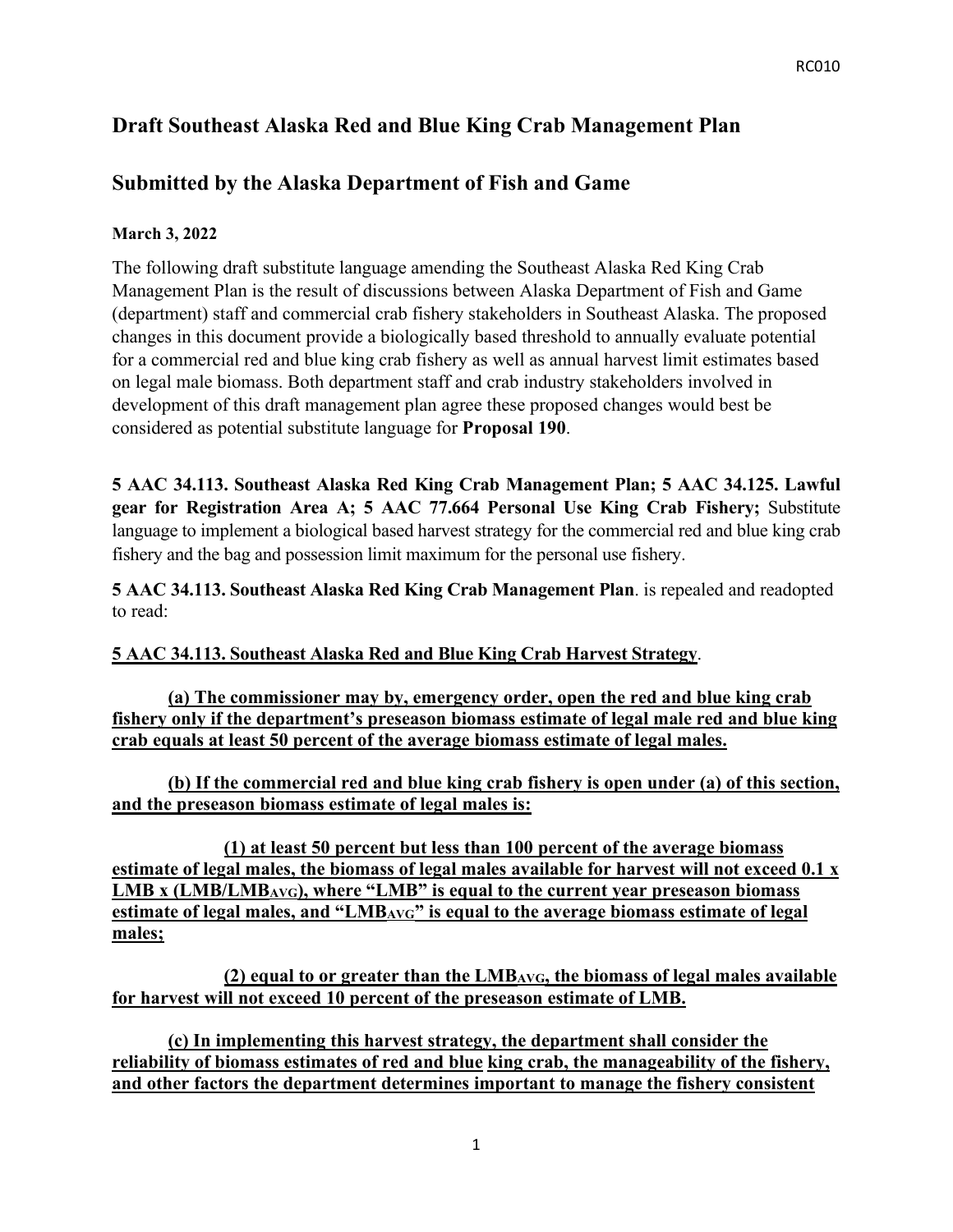# **Draft Southeast Alaska Red and Blue King Crab Management Plan**

## **Submitted by the Alaska Department of Fish and Game**

#### **March 3, 2022**

The following draft substitute language amending the Southeast Alaska Red King Crab Management Plan is the result of discussions between Alaska Department of Fish and Game (department) staff and commercial crab fishery stakeholders in Southeast Alaska. The proposed changes in this document provide a biologically based threshold to annually evaluate potential for a commercial red and blue king crab fishery as well as annual harvest limit estimates based on legal male biomass. Both department staff and crab industry stakeholders involved in development of this draft management plan agree these proposed changes would best be considered as potential substitute language for **Proposal 190**.

**5 AAC 34.113. Southeast Alaska Red King Crab Management Plan; 5 AAC 34.125. Lawful gear for Registration Area A; 5 AAC 77.664 Personal Use King Crab Fishery;** Substitute language to implement a biological based harvest strategy for the commercial red and blue king crab fishery and the bag and possession limit maximum for the personal use fishery.

**5 AAC 34.113. Southeast Alaska Red King Crab Management Plan**. is repealed and readopted to read:

## **5 AAC 34.113. Southeast Alaska Red and Blue King Crab Harvest Strategy**.

**(a) The commissioner may by, emergency order, open the red and blue king crab fishery only if the department's preseason biomass estimate of legal male red and blue king crab equals at least 50 percent of the average biomass estimate of legal males.**

**(b) If the commercial red and blue king crab fishery is open under (a) of this section, and the preseason biomass estimate of legal males is:** 

**(1) at least 50 percent but less than 100 percent of the average biomass estimate of legal males, the biomass of legal males available for harvest will not exceed 0.1 x LMB x (LMB/LMBAVG), where "LMB" is equal to the current year preseason biomass estimate of legal males, and "LMBAVG" is equal to the average biomass estimate of legal males;** 

**(2) equal to or greater than the LMBAVG, the biomass of legal males available for harvest will not exceed 10 percent of the preseason estimate of LMB.** 

**(c) In implementing this harvest strategy, the department shall consider the reliability of biomass estimates of red and blue king crab, the manageability of the fishery, and other factors the department determines important to manage the fishery consistent**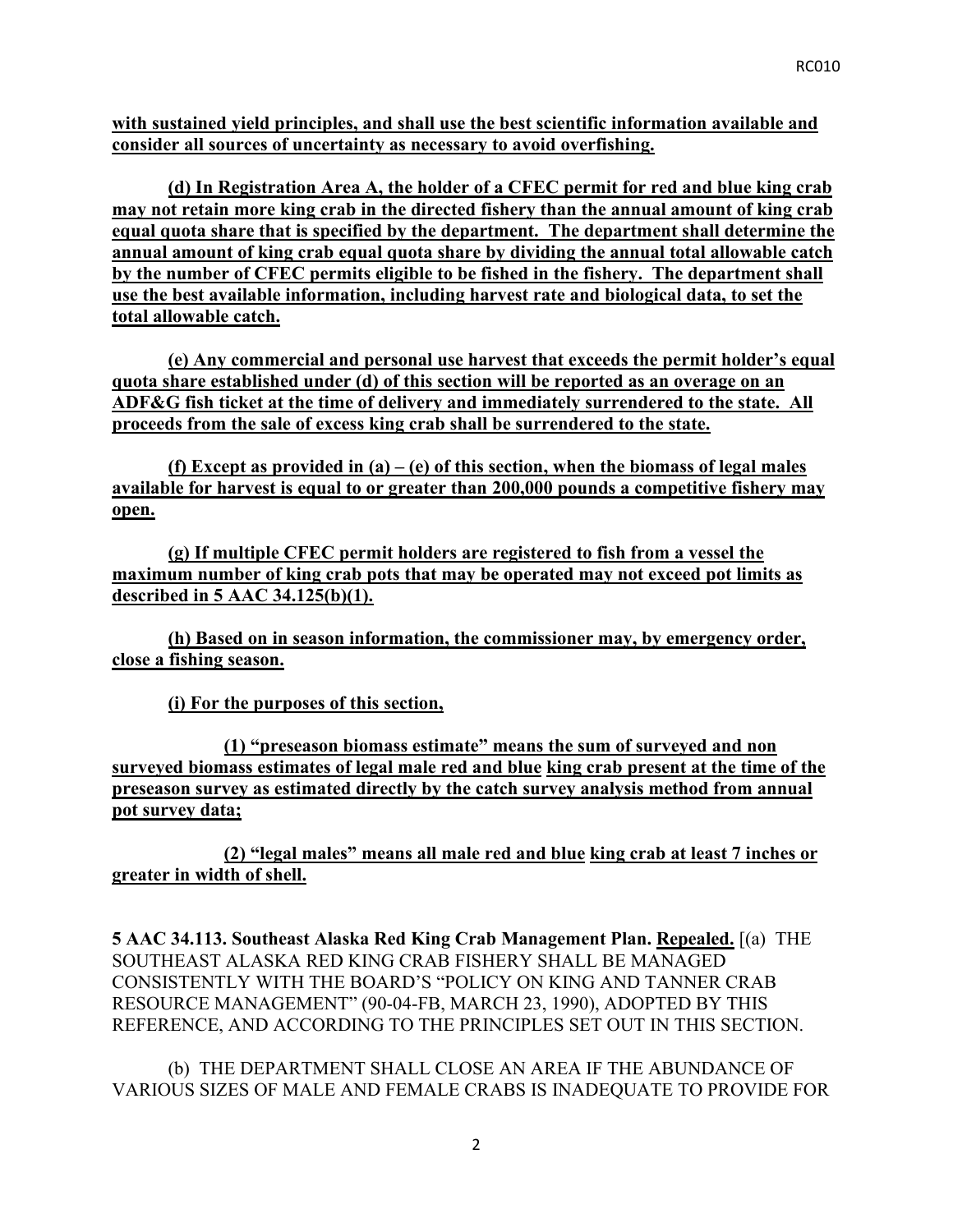**with sustained yield principles, and shall use the best scientific information available and consider all sources of uncertainty as necessary to avoid overfishing.** 

**(d) In Registration Area A, the holder of a CFEC permit for red and blue king crab may not retain more king crab in the directed fishery than the annual amount of king crab equal quota share that is specified by the department. The department shall determine the annual amount of king crab equal quota share by dividing the annual total allowable catch by the number of CFEC permits eligible to be fished in the fishery. The department shall use the best available information, including harvest rate and biological data, to set the total allowable catch.** 

**(e) Any commercial and personal use harvest that exceeds the permit holder's equal quota share established under (d) of this section will be reported as an overage on an ADF&G fish ticket at the time of delivery and immediately surrendered to the state. All proceeds from the sale of excess king crab shall be surrendered to the state.** 

**(f) Except as provided in (a) – (e) of this section, when the biomass of legal males available for harvest is equal to or greater than 200,000 pounds a competitive fishery may open.**

**(g) If multiple CFEC permit holders are registered to fish from a vessel the maximum number of king crab pots that may be operated may not exceed pot limits as described in 5 AAC 34.125(b)(1).**

**(h) Based on in season information, the commissioner may, by emergency order, close a fishing season.** 

**(i) For the purposes of this section,**

**(1) "preseason biomass estimate" means the sum of surveyed and non surveyed biomass estimates of legal male red and blue king crab present at the time of the preseason survey as estimated directly by the catch survey analysis method from annual pot survey data;** 

**(2) "legal males" means all male red and blue king crab at least 7 inches or greater in width of shell.** 

**5 AAC 34.113. Southeast Alaska Red King Crab Management Plan. Repealed.** [(a) THE SOUTHEAST ALASKA RED KING CRAB FISHERY SHALL BE MANAGED CONSISTENTLY WITH THE BOARD'S "POLICY ON KING AND TANNER CRAB RESOURCE MANAGEMENT" (90-04-FB, MARCH 23, 1990), ADOPTED BY THIS REFERENCE, AND ACCORDING TO THE PRINCIPLES SET OUT IN THIS SECTION.

(b) THE DEPARTMENT SHALL CLOSE AN AREA IF THE ABUNDANCE OF VARIOUS SIZES OF MALE AND FEMALE CRABS IS INADEQUATE TO PROVIDE FOR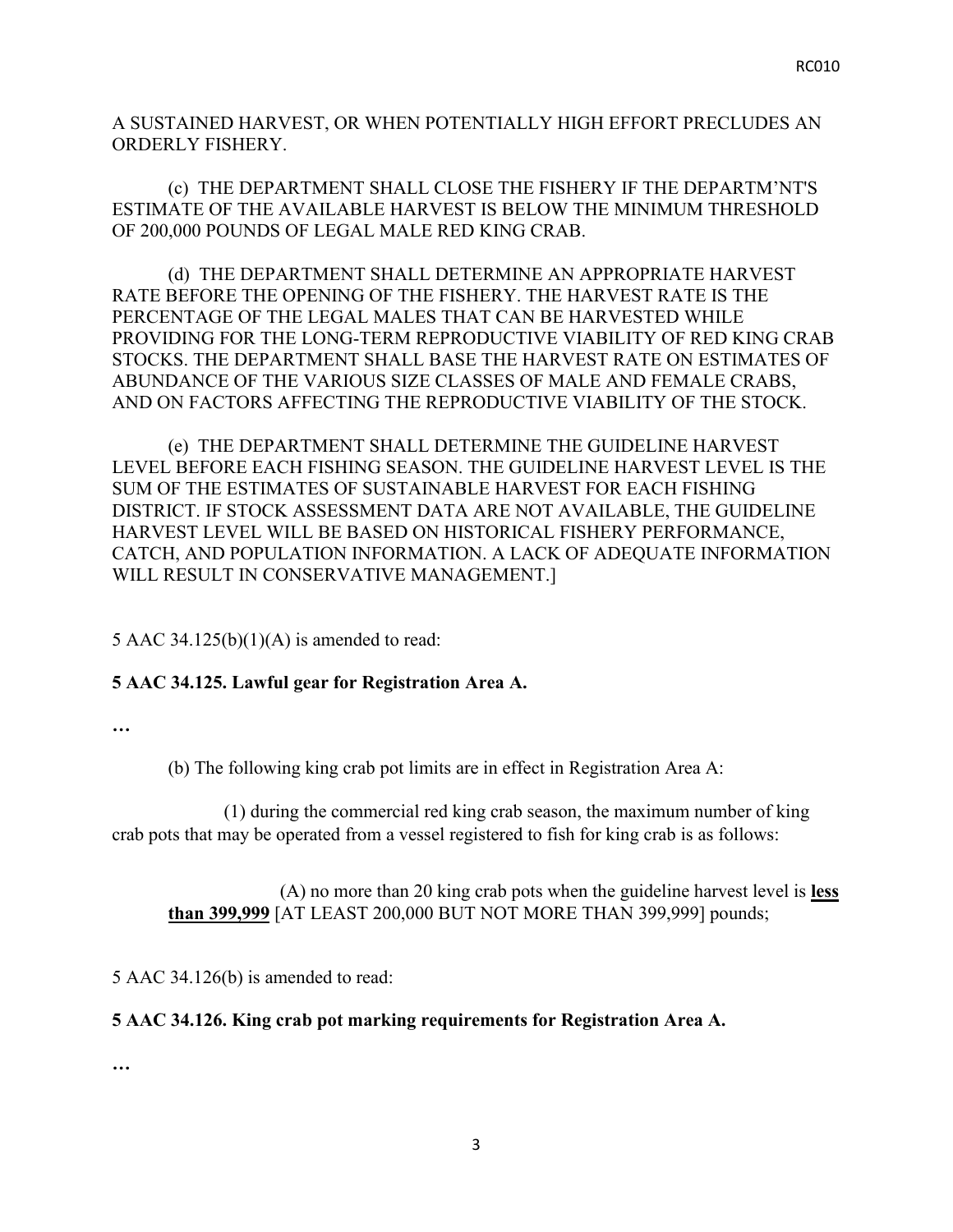A SUSTAINED HARVEST, OR WHEN POTENTIALLY HIGH EFFORT PRECLUDES AN ORDERLY FISHERY.

(c) THE DEPARTMENT SHALL CLOSE THE FISHERY IF THE DEPARTM'NT'S ESTIMATE OF THE AVAILABLE HARVEST IS BELOW THE MINIMUM THRESHOLD OF 200,000 POUNDS OF LEGAL MALE RED KING CRAB.

(d) THE DEPARTMENT SHALL DETERMINE AN APPROPRIATE HARVEST RATE BEFORE THE OPENING OF THE FISHERY. THE HARVEST RATE IS THE PERCENTAGE OF THE LEGAL MALES THAT CAN BE HARVESTED WHILE PROVIDING FOR THE LONG-TERM REPRODUCTIVE VIABILITY OF RED KING CRAB STOCKS. THE DEPARTMENT SHALL BASE THE HARVEST RATE ON ESTIMATES OF ABUNDANCE OF THE VARIOUS SIZE CLASSES OF MALE AND FEMALE CRABS, AND ON FACTORS AFFECTING THE REPRODUCTIVE VIABILITY OF THE STOCK.

(e) THE DEPARTMENT SHALL DETERMINE THE GUIDELINE HARVEST LEVEL BEFORE EACH FISHING SEASON. THE GUIDELINE HARVEST LEVEL IS THE SUM OF THE ESTIMATES OF SUSTAINABLE HARVEST FOR EACH FISHING DISTRICT. IF STOCK ASSESSMENT DATA ARE NOT AVAILABLE, THE GUIDELINE HARVEST LEVEL WILL BE BASED ON HISTORICAL FISHERY PERFORMANCE, CATCH, AND POPULATION INFORMATION. A LACK OF ADEQUATE INFORMATION WILL RESULT IN CONSERVATIVE MANAGEMENT.]

5 AAC 34.125(b)(1)(A) is amended to read:

## **5 AAC 34.125. Lawful gear for Registration Area A.**

**…**

(b) The following king crab pot limits are in effect in Registration Area A:

(1) during the commercial red king crab season, the maximum number of king crab pots that may be operated from a vessel registered to fish for king crab is as follows:

(A) no more than 20 king crab pots when the guideline harvest level is **less than 399,999** [AT LEAST 200,000 BUT NOT MORE THAN 399,999] pounds;

5 AAC 34.126(b) is amended to read:

## **5 AAC 34.126. King crab pot marking requirements for Registration Area A.**

**…**